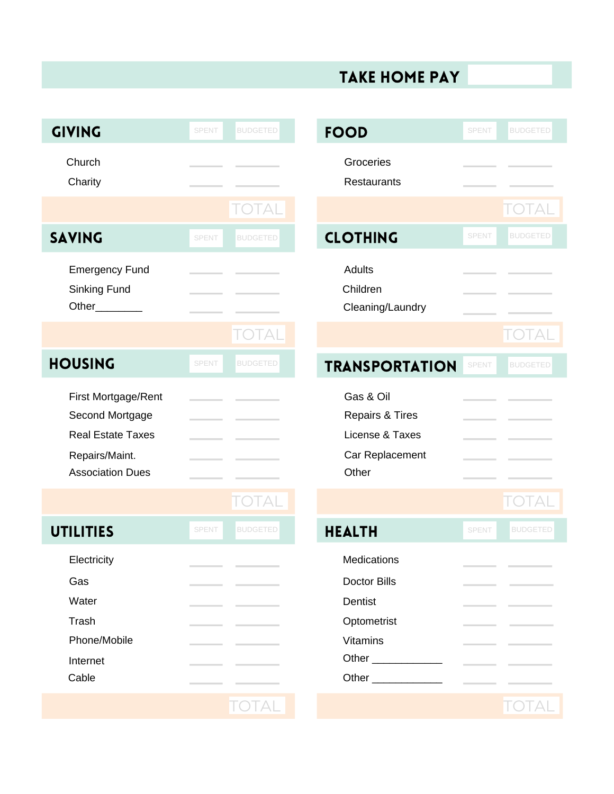## take home pay

| <b>GIVING</b>                                                                                                   | <b>SPENT</b> | <b>BUDGETED</b> | <b>FOOD</b>                                                                                                              | <b>SPENT</b> | <b>BUDGETED</b> |
|-----------------------------------------------------------------------------------------------------------------|--------------|-----------------|--------------------------------------------------------------------------------------------------------------------------|--------------|-----------------|
| Church<br>Charity                                                                                               |              |                 | Groceries<br>Restaurants                                                                                                 |              |                 |
|                                                                                                                 |              | <b>TOTAL</b>    |                                                                                                                          |              | TOTAL           |
| <b>SAVING</b>                                                                                                   | <b>SPENT</b> | <b>BUDGETED</b> | <b>CLOTHING</b>                                                                                                          | <b>SPENT</b> | <b>BUDGETED</b> |
| <b>Emergency Fund</b><br>Sinking Fund<br>Other                                                                  |              |                 | Adults<br>Children<br>Cleaning/Laundry                                                                                   |              |                 |
|                                                                                                                 |              | TOTAI           |                                                                                                                          |              | TOTAL           |
| <b>HOUSING</b>                                                                                                  | <b>SPENT</b> | <b>BUDGETED</b> | <b>TRANSPORTATION</b>                                                                                                    | SPENT        | <b>BUDGETED</b> |
| First Mortgage/Rent<br>Second Mortgage<br><b>Real Estate Taxes</b><br>Repairs/Maint.<br><b>Association Dues</b> |              |                 | Gas & Oil<br>Repairs & Tires<br>License & Taxes<br>Car Replacement<br>Other                                              |              |                 |
|                                                                                                                 |              | <b>TOTAL</b>    |                                                                                                                          |              | <b>TOTAL</b>    |
| <b>UTILITIES</b>                                                                                                | <b>SPENT</b> | <b>BUDGETED</b> | <b>HEALTH</b>                                                                                                            | <b>SPENT</b> | <b>BUDGETED</b> |
| Electricity<br>Gas<br>Water<br>Trash<br>Phone/Mobile<br>Internet<br>Cable                                       |              |                 | Medications<br><b>Doctor Bills</b><br>Dentist<br>Optometrist<br><b>Vitamins</b><br>Other<br>Other <b>Community</b> Other |              |                 |
|                                                                                                                 |              | <b>TOTAL</b>    |                                                                                                                          |              | TOTAL           |